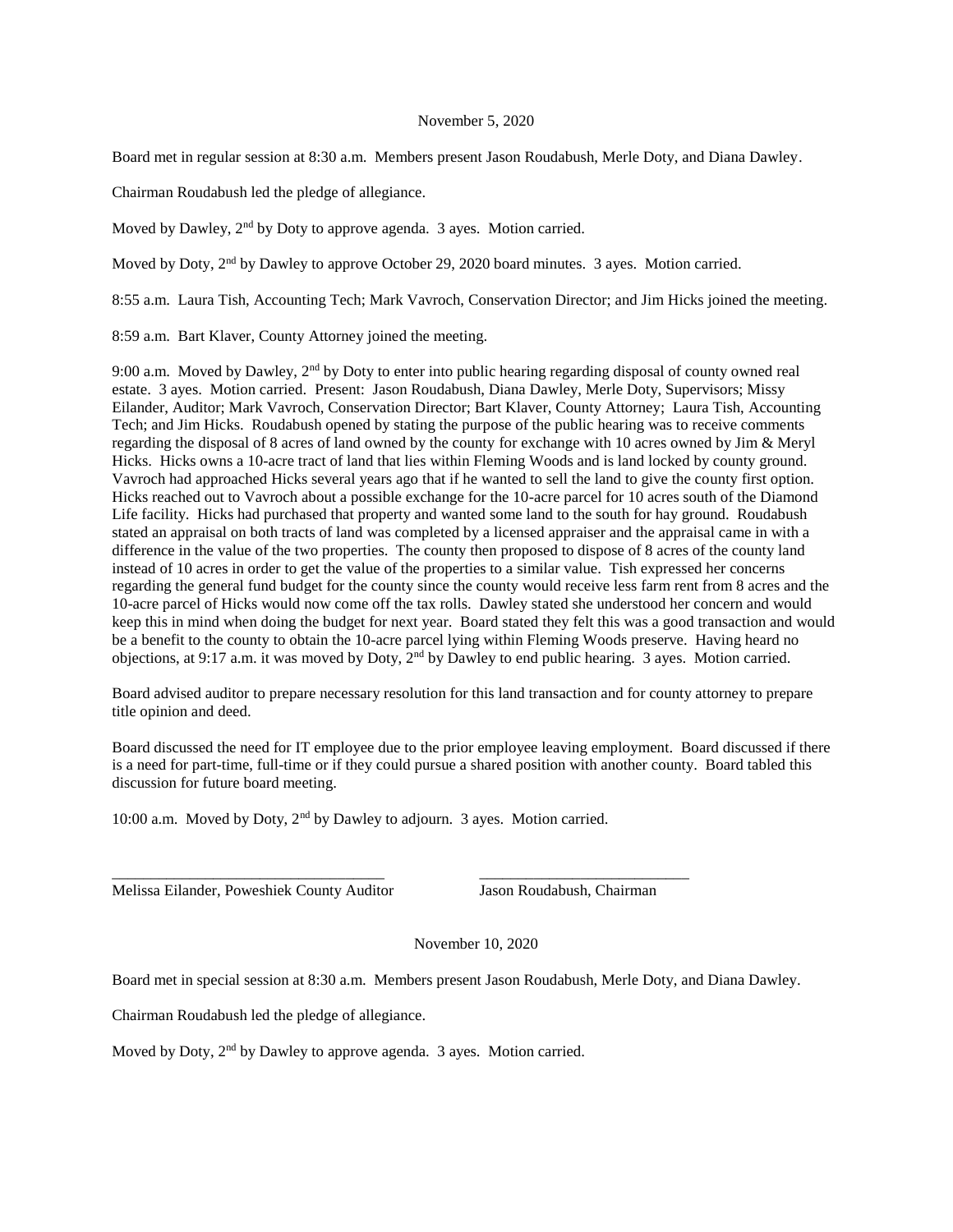## November 5, 2020

Board met in regular session at 8:30 a.m. Members present Jason Roudabush, Merle Doty, and Diana Dawley.

Chairman Roudabush led the pledge of allegiance.

Moved by Dawley, 2<sup>nd</sup> by Doty to approve agenda. 3 ayes. Motion carried.

Moved by Doty, 2<sup>nd</sup> by Dawley to approve October 29, 2020 board minutes. 3 ayes. Motion carried.

8:55 a.m. Laura Tish, Accounting Tech; Mark Vavroch, Conservation Director; and Jim Hicks joined the meeting.

8:59 a.m. Bart Klaver, County Attorney joined the meeting.

9:00 a.m. Moved by Dawley, 2nd by Doty to enter into public hearing regarding disposal of county owned real estate. 3 ayes. Motion carried. Present: Jason Roudabush, Diana Dawley, Merle Doty, Supervisors; Missy Eilander, Auditor; Mark Vavroch, Conservation Director; Bart Klaver, County Attorney; Laura Tish, Accounting Tech; and Jim Hicks. Roudabush opened by stating the purpose of the public hearing was to receive comments regarding the disposal of 8 acres of land owned by the county for exchange with 10 acres owned by Jim & Meryl Hicks. Hicks owns a 10-acre tract of land that lies within Fleming Woods and is land locked by county ground. Vavroch had approached Hicks several years ago that if he wanted to sell the land to give the county first option. Hicks reached out to Vavroch about a possible exchange for the 10-acre parcel for 10 acres south of the Diamond Life facility. Hicks had purchased that property and wanted some land to the south for hay ground. Roudabush stated an appraisal on both tracts of land was completed by a licensed appraiser and the appraisal came in with a difference in the value of the two properties. The county then proposed to dispose of 8 acres of the county land instead of 10 acres in order to get the value of the properties to a similar value. Tish expressed her concerns regarding the general fund budget for the county since the county would receive less farm rent from 8 acres and the 10-acre parcel of Hicks would now come off the tax rolls. Dawley stated she understood her concern and would keep this in mind when doing the budget for next year. Board stated they felt this was a good transaction and would be a benefit to the county to obtain the 10-acre parcel lying within Fleming Woods preserve. Having heard no objections, at 9:17 a.m. it was moved by Doty, 2nd by Dawley to end public hearing. 3 ayes. Motion carried.

Board advised auditor to prepare necessary resolution for this land transaction and for county attorney to prepare title opinion and deed.

Board discussed the need for IT employee due to the prior employee leaving employment. Board discussed if there is a need for part-time, full-time or if they could pursue a shared position with another county. Board tabled this discussion for future board meeting.

10:00 a.m. Moved by Doty, 2nd by Dawley to adjourn. 3 ayes. Motion carried.

\_\_\_\_\_\_\_\_\_\_\_\_\_\_\_\_\_\_\_\_\_\_\_\_\_\_\_\_\_\_\_\_\_\_\_ \_\_\_\_\_\_\_\_\_\_\_\_\_\_\_\_\_\_\_\_\_\_\_\_\_\_\_

Melissa Eilander, Poweshiek County Auditor Jason Roudabush, Chairman

November 10, 2020

Board met in special session at 8:30 a.m. Members present Jason Roudabush, Merle Doty, and Diana Dawley.

Chairman Roudabush led the pledge of allegiance.

Moved by Doty, 2<sup>nd</sup> by Dawley to approve agenda. 3 ayes. Motion carried.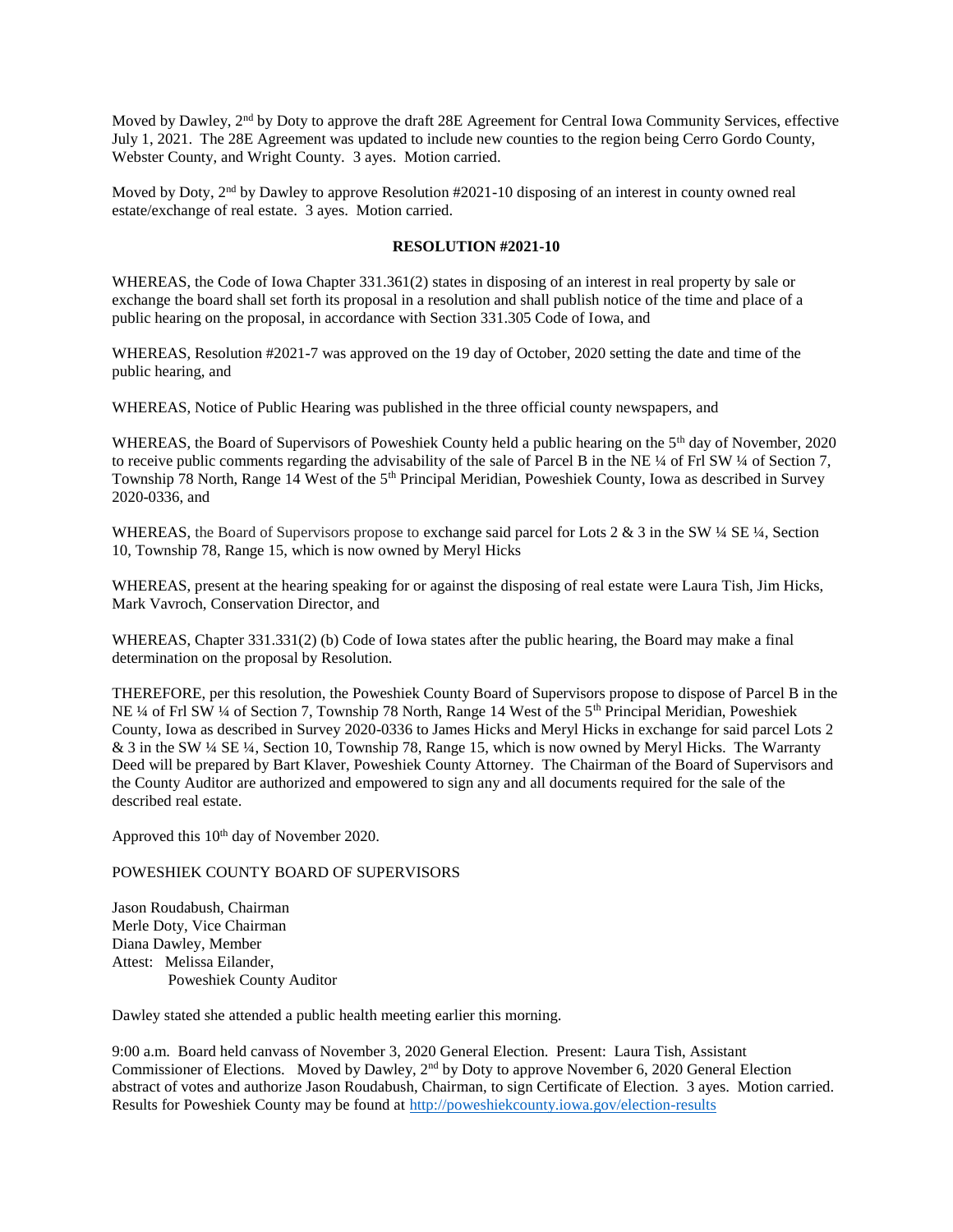Moved by Dawley, 2nd by Doty to approve the draft 28E Agreement for Central Iowa Community Services, effective July 1, 2021. The 28E Agreement was updated to include new counties to the region being Cerro Gordo County, Webster County, and Wright County. 3 ayes. Motion carried.

Moved by Doty,  $2<sup>nd</sup>$  by Dawley to approve Resolution #2021-10 disposing of an interest in county owned real estate/exchange of real estate. 3 ayes. Motion carried.

## **RESOLUTION #2021-10**

WHEREAS, the Code of Iowa Chapter 331.361(2) states in disposing of an interest in real property by sale or exchange the board shall set forth its proposal in a resolution and shall publish notice of the time and place of a public hearing on the proposal, in accordance with Section 331.305 Code of Iowa, and

WHEREAS, Resolution #2021-7 was approved on the 19 day of October, 2020 setting the date and time of the public hearing, and

WHEREAS, Notice of Public Hearing was published in the three official county newspapers, and

WHEREAS, the Board of Supervisors of Poweshiek County held a public hearing on the 5<sup>th</sup> day of November, 2020 to receive public comments regarding the advisability of the sale of Parcel B in the NE ¼ of Frl SW ¼ of Section 7, Township 78 North, Range 14 West of the 5<sup>th</sup> Principal Meridian, Poweshiek County, Iowa as described in Survey 2020-0336, and

WHEREAS, the Board of Supervisors propose to exchange said parcel for Lots 2 & 3 in the SW ¼ SE ¼, Section 10, Township 78, Range 15, which is now owned by Meryl Hicks

WHEREAS, present at the hearing speaking for or against the disposing of real estate were Laura Tish, Jim Hicks, Mark Vavroch, Conservation Director, and

WHEREAS, Chapter 331.331(2) (b) Code of Iowa states after the public hearing, the Board may make a final determination on the proposal by Resolution.

THEREFORE, per this resolution, the Poweshiek County Board of Supervisors propose to dispose of Parcel B in the NE ¼ of Frl SW ¼ of Section 7, Township 78 North, Range 14 West of the 5th Principal Meridian, Poweshiek County, Iowa as described in Survey 2020-0336 to James Hicks and Meryl Hicks in exchange for said parcel Lots 2 & 3 in the SW ¼ SE ¼, Section 10, Township 78, Range 15, which is now owned by Meryl Hicks. The Warranty Deed will be prepared by Bart Klaver, Poweshiek County Attorney. The Chairman of the Board of Supervisors and the County Auditor are authorized and empowered to sign any and all documents required for the sale of the described real estate.

Approved this 10<sup>th</sup> day of November 2020.

## POWESHIEK COUNTY BOARD OF SUPERVISORS

Jason Roudabush, Chairman Merle Doty, Vice Chairman Diana Dawley, Member Attest: Melissa Eilander, Poweshiek County Auditor

Dawley stated she attended a public health meeting earlier this morning.

9:00 a.m. Board held canvass of November 3, 2020 General Election. Present: Laura Tish, Assistant Commissioner of Elections. Moved by Dawley, 2nd by Doty to approve November 6, 2020 General Election abstract of votes and authorize Jason Roudabush, Chairman, to sign Certificate of Election. 3 ayes. Motion carried. Results for Poweshiek County may be found at<http://poweshiekcounty.iowa.gov/election-results>